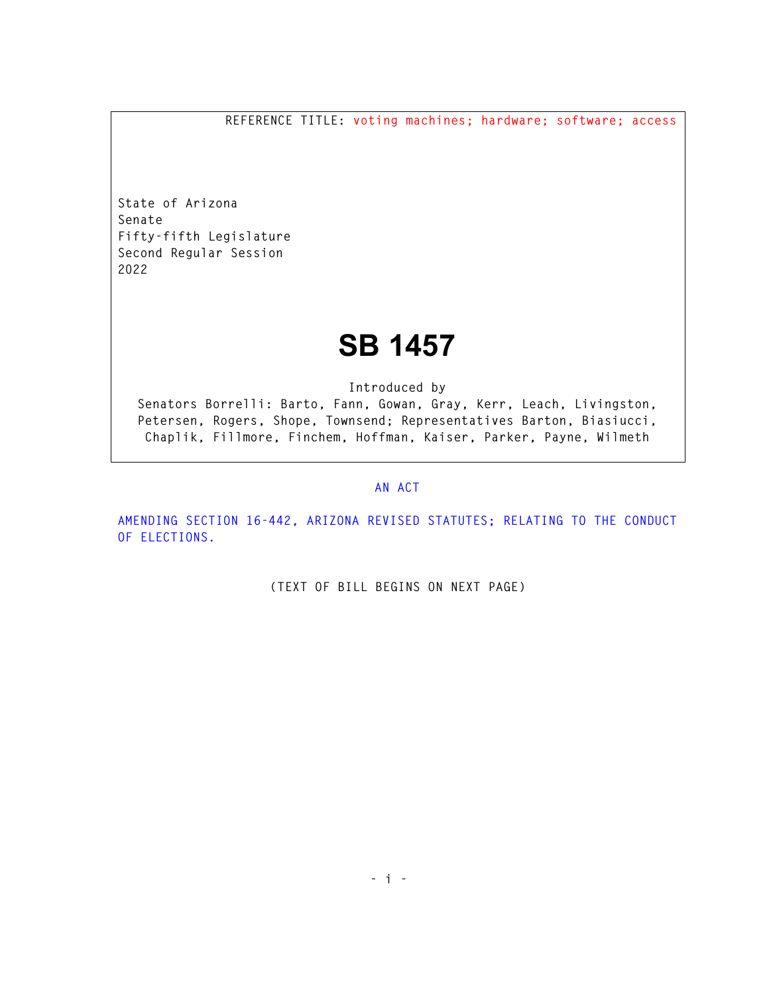**REFERENCE TITLE: voting machines; hardware; software; access** 

**State of Arizona Senate Fifty-fifth Legislature Second Regular Session 2022** 

## **SB 1457**

**Introduced by** 

**Senators Borrelli: Barto, Fann, Gowan, Gray, Kerr, Leach, Livingston, Petersen, Rogers, Shope, Townsend; Representatives Barton, Biasiucci, Chaplik, Fillmore, Finchem, Hoffman, Kaiser, Parker, Payne, Wilmeth** 

## **AN ACT**

**AMENDING SECTION 16-442, ARIZONA REVISED STATUTES; RELATING TO THE CONDUCT OF ELECTIONS.** 

**(TEXT OF BILL BEGINS ON NEXT PAGE)**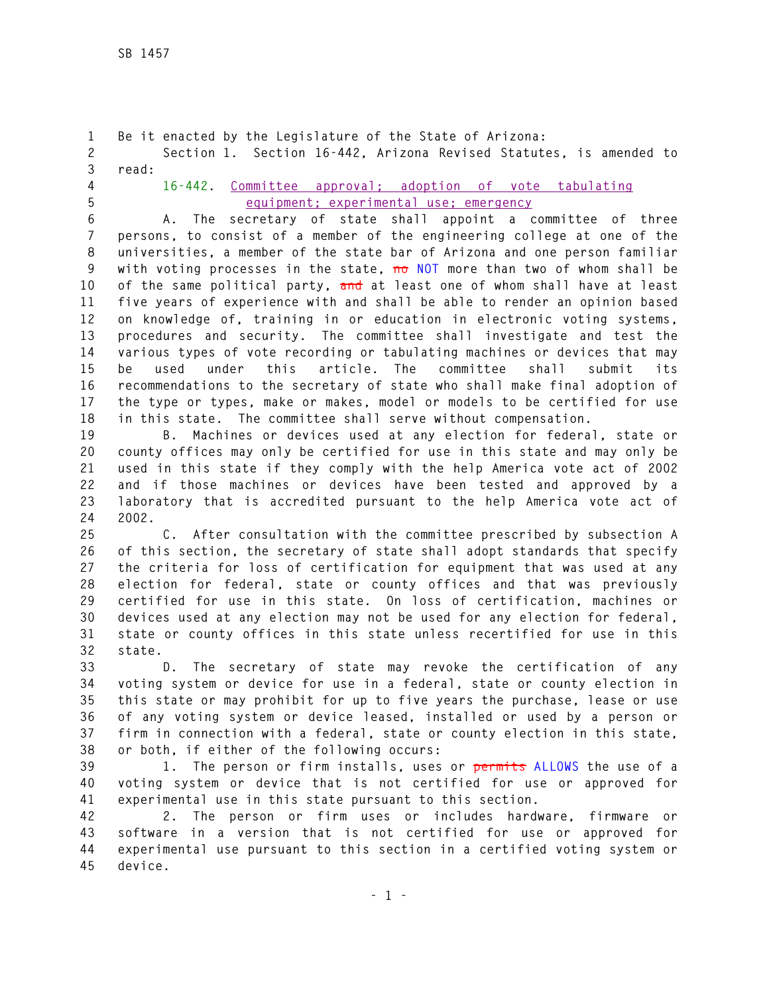**1 Be it enacted by the Legislature of the State of Arizona: 2 Section 1. Section 16-442, Arizona Revised Statutes, is amended to 3 read: 4 16-442. Committee approval; adoption of vote tabulating 5 equipment; experimental use; emergency 6 A. The secretary of state shall appoint a committee of three 7 persons, to consist of a member of the engineering college at one of the 8 universities, a member of the state bar of Arizona and one person familiar 9 with voting processes in the state, no NOT more than two of whom shall be 10 of the same political party, and at least one of whom shall have at least 11 five years of experience with and shall be able to render an opinion based 12 on knowledge of, training in or education in electronic voting systems, 13 procedures and security. The committee shall investigate and test the 14 various types of vote recording or tabulating machines or devices that may 15 be used under this article. The committee shall submit its** 

**16 recommendations to the secretary of state who shall make final adoption of 17 the type or types, make or makes, model or models to be certified for use 18 in this state. The committee shall serve without compensation.** 

**19 B. Machines or devices used at any election for federal, state or 20 county offices may only be certified for use in this state and may only be 21 used in this state if they comply with the help America vote act of 2002 22 and if those machines or devices have been tested and approved by a 23 laboratory that is accredited pursuant to the help America vote act of 24 2002.** 

**25 C. After consultation with the committee prescribed by subsection A 26 of this section, the secretary of state shall adopt standards that specify 27 the criteria for loss of certification for equipment that was used at any 28 election for federal, state or county offices and that was previously 29 certified for use in this state. On loss of certification, machines or 30 devices used at any election may not be used for any election for federal, 31 state or county offices in this state unless recertified for use in this 32 state.** 

**33 D. The secretary of state may revoke the certification of any 34 voting system or device for use in a federal, state or county election in 35 this state or may prohibit for up to five years the purchase, lease or use 36 of any voting system or device leased, installed or used by a person or 37 firm in connection with a federal, state or county election in this state, 38 or both, if either of the following occurs:** 

**39 1. The person or firm installs, uses or permits ALLOWS the use of a 40 voting system or device that is not certified for use or approved for 41 experimental use in this state pursuant to this section.** 

**42 2. The person or firm uses or includes hardware, firmware or 43 software in a version that is not certified for use or approved for 44 experimental use pursuant to this section in a certified voting system or 45 device.**